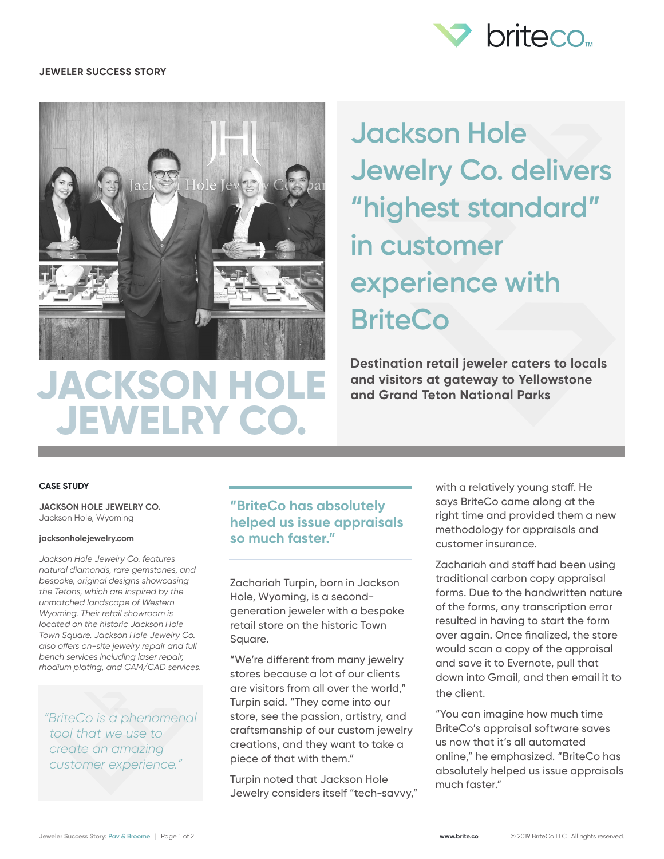

### **JEWELER SUCCESS STORY**



 **JEWELRY CO.**

**Jackson Hole Jewelry Co. delivers "highest standard" in customer experience with BriteCo**

**Destination retail jeweler caters to locals and visitors at gateway to Yellowstone and Grand Teton National Parks**

#### **CASE STUDY**

**JACKSON HOLE JEWELRY CO.** Jackson Hole, Wyoming

#### **jacksonholejewelry.com**

*Jackson Hole Jewelry Co. features natural diamonds, rare gemstones, and bespoke, original designs showcasing the Tetons, which are inspired by the unmatched landscape of Western Wyoming. Their retail showroom is located on the historic Jackson Hole Town Square. Jackson Hole Jewelry Co. also offers on-site jewelry repair and full bench services including laser repair, rhodium plating, and CAM/CAD services.*

*"BriteCo is a phenomenal tool that we use to create an amazing customer experience."*

### **"BriteCo has absolutely helped us issue appraisals so much faster."**

Zachariah Turpin, born in Jackson Hole, Wyoming, is a secondgeneration jeweler with a bespoke retail store on the historic Town Square.

"We're different from many jewelry stores because a lot of our clients are visitors from all over the world," Turpin said. "They come into our store, see the passion, artistry, and craftsmanship of our custom jewelry creations, and they want to take a piece of that with them."

Turpin noted that Jackson Hole Jewelry considers itself "tech-savvy," with a relatively young staff. He says BriteCo came along at the right time and provided them a new methodology for appraisals and customer insurance.

Zachariah and staff had been using traditional carbon copy appraisal forms. Due to the handwritten nature of the forms, any transcription error resulted in having to start the form over again. Once finalized, the store would scan a copy of the appraisal and save it to Evernote, pull that down into Gmail, and then email it to the client.

"You can imagine how much time BriteCo's appraisal software saves us now that it's all automated online," he emphasized. "BriteCo has absolutely helped us issue appraisals much faster."